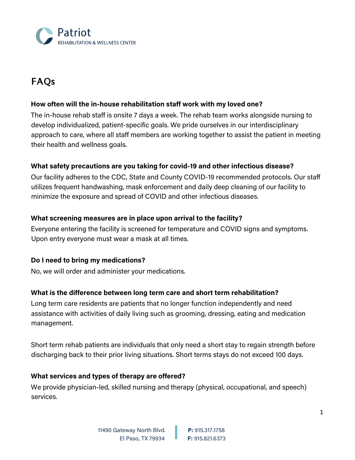

# **FAQs**

## **How often will the in-house rehabilitation staff work with my loved one?**

The in-house rehab staff is onsite 7 days a week. The rehab team works alongside nursing to develop individualized, patient-specific goals. We pride ourselves in our interdisciplinary approach to care, where all staff members are working together to assist the patient in meeting their health and wellness goals.

## **What safety precautions are you taking for covid-19 and other infectious disease?**

Our facility adheres to the CDC, State and County COVID-19 recommended protocols. Our staff utilizes frequent handwashing, mask enforcement and daily deep cleaning of our facility to minimize the exposure and spread of COVID and other infectious diseases.

## **What screening measures are in place upon arrival to the facility?**

Everyone entering the facility is screened for temperature and COVID signs and symptoms. Upon entry everyone must wear a mask at all times.

## **Do I need to bring my medications?**

No, we will order and administer your medications.

## **What is the difference between long term care and short term rehabilitation?**

Long term care residents are patients that no longer function independently and need assistance with activities of daily living such as grooming, dressing, eating and medication management.

Short term rehab patients are individuals that only need a short stay to regain strength before discharging back to their prior living situations. Short terms stays do not exceed 100 days.

## **What services and types of therapy are offered?**

We provide physician-led, skilled nursing and therapy (physical, occupational, and speech) services.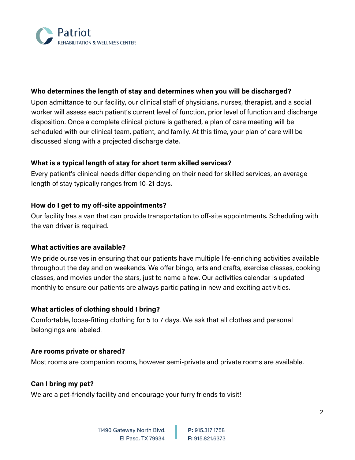

## **Who determines the length of stay and determines when you will be discharged?**

Upon admittance to our facility, our clinical staff of physicians, nurses, therapist, and a social worker will assess each patient's current level of function, prior level of function and discharge disposition. Once a complete clinical picture is gathered, a plan of care meeting will be scheduled with our clinical team, patient, and family. At this time, your plan of care will be discussed along with a projected discharge date.

## **What is a typical length of stay for short term skilled services?**

Every patient's clinical needs differ depending on their need for skilled services, an average length of stay typically ranges from 10-21 days.

# **How do I get to my off-site appointments?**

Our facility has a van that can provide transportation to off-site appointments. Scheduling with the van driver is required.

## **What activities are available?**

We pride ourselves in ensuring that our patients have multiple life-enriching activities available throughout the day and on weekends. We offer bingo, arts and crafts, exercise classes, cooking classes, and movies under the stars, just to name a few. Our activities calendar is updated monthly to ensure our patients are always participating in new and exciting activities.

## **What articles of clothing should I bring?**

Comfortable, loose-fitting clothing for 5 to 7 days. We ask that all clothes and personal belongings are labeled.

## **Are rooms private or shared?**

Most rooms are companion rooms, however semi-private and private rooms are available.

## **Can I bring my pet?**

We are a pet-friendly facility and encourage your furry friends to visit!